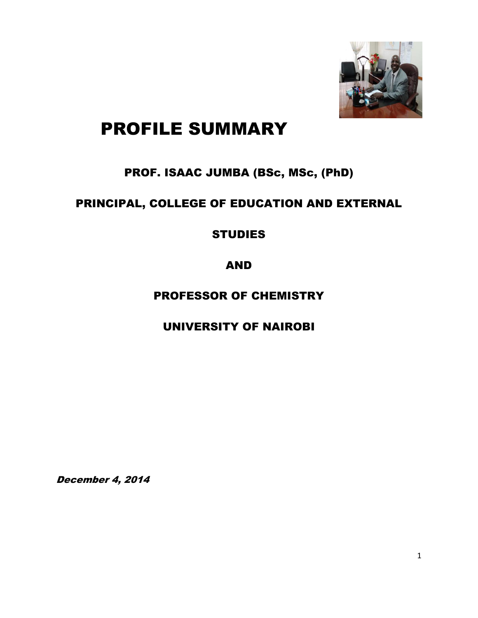

# PROFILE SUMMARY

## PROF. ISAAC JUMBA (BSc, MSc, (PhD)

## PRINCIPAL, COLLEGE OF EDUCATION AND EXTERNAL

#### **STUDIES**

#### AND

#### PROFESSOR OF CHEMISTRY

UNIVERSITY OF NAIROBI

December 4, 2014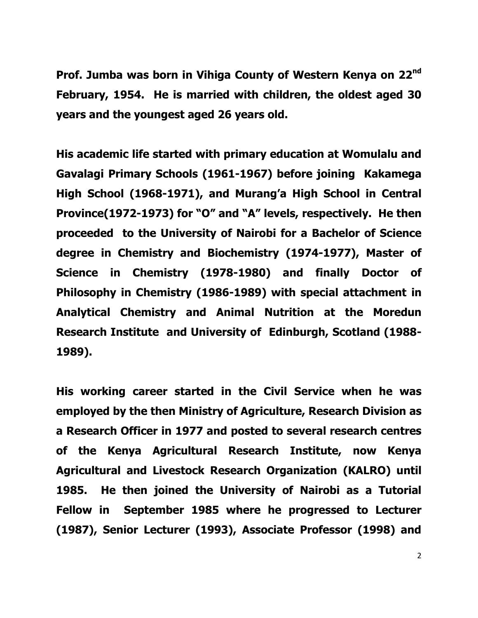**Prof. Jumba was born in Vihiga County of Western Kenya on 22nd February, 1954. He is married with children, the oldest aged 30 years and the youngest aged 26 years old.**

**His academic life started with primary education at Womulalu and Gavalagi Primary Schools (1961-1967) before joining Kakamega High School (1968-1971), and Murang'a High School in Central Province(1972-1973) for "O" and "A" levels, respectively. He then proceeded to the University of Nairobi for a Bachelor of Science degree in Chemistry and Biochemistry (1974-1977), Master of Science in Chemistry (1978-1980) and finally Doctor of Philosophy in Chemistry (1986-1989) with special attachment in Analytical Chemistry and Animal Nutrition at the Moredun Research Institute and University of Edinburgh, Scotland (1988- 1989).**

**His working career started in the Civil Service when he was employed by the then Ministry of Agriculture, Research Division as a Research Officer in 1977 and posted to several research centres of the Kenya Agricultural Research Institute, now Kenya Agricultural and Livestock Research Organization (KALRO) until 1985. He then joined the University of Nairobi as a Tutorial Fellow in September 1985 where he progressed to Lecturer (1987), Senior Lecturer (1993), Associate Professor (1998) and**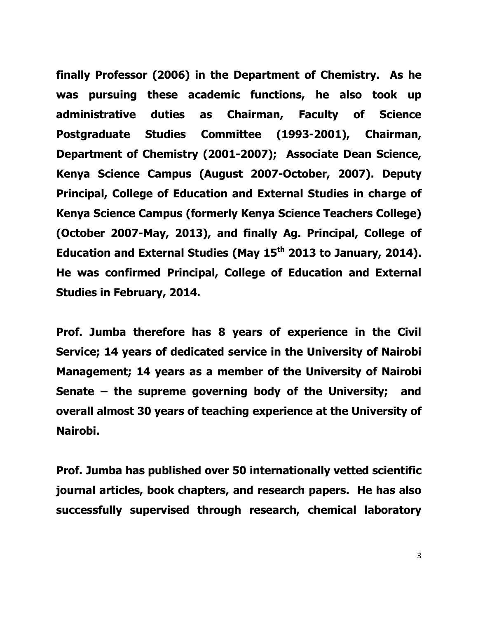**finally Professor (2006) in the Department of Chemistry. As he was pursuing these academic functions, he also took up administrative duties as Chairman, Faculty of Science Postgraduate Studies Committee (1993-2001), Chairman, Department of Chemistry (2001-2007); Associate Dean Science, Kenya Science Campus (August 2007-October, 2007). Deputy Principal, College of Education and External Studies in charge of Kenya Science Campus (formerly Kenya Science Teachers College) (October 2007-May, 2013), and finally Ag. Principal, College of Education and External Studies (May 15th 2013 to January, 2014). He was confirmed Principal, College of Education and External Studies in February, 2014.**

**Prof. Jumba therefore has 8 years of experience in the Civil Service; 14 years of dedicated service in the University of Nairobi Management; 14 years as a member of the University of Nairobi Senate – the supreme governing body of the University; and overall almost 30 years of teaching experience at the University of Nairobi.**

**Prof. Jumba has published over 50 internationally vetted scientific journal articles, book chapters, and research papers. He has also successfully supervised through research, chemical laboratory**